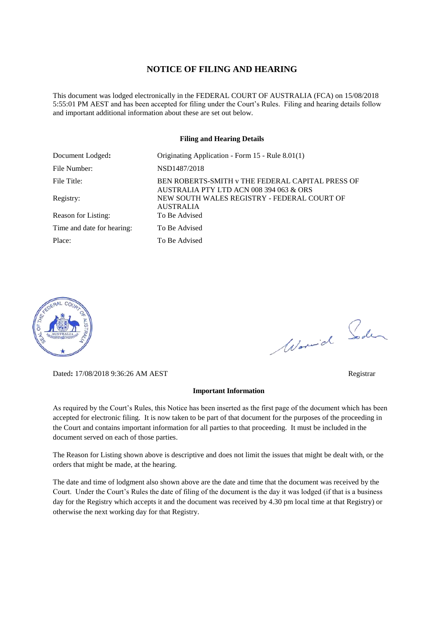#### **NOTICE OF FILING AND HEARING**

This document was lodged electronically in the FEDERAL COURT OF AUSTRALIA (FCA) on 15/08/2018 5:55:01 PM AEST and has been accepted for filing under the Court's Rules. Filing and hearing details follow and important additional information about these are set out below.

#### **Filing and Hearing Details**

| Document Lodged:           | Originating Application - Form 15 - Rule 8.01(1)                                            |
|----------------------------|---------------------------------------------------------------------------------------------|
| File Number:               | NSD1487/2018                                                                                |
| File Title:                | BEN ROBERTS-SMITH v THE FEDERAL CAPITAL PRESS OF<br>AUSTRALIA PTY LTD ACN 008 394 063 & ORS |
| Registry:                  | NEW SOUTH WALES REGISTRY - FEDERAL COURT OF<br><b>AUSTRALIA</b>                             |
| Reason for Listing:        | To Be Advised                                                                               |
| Time and date for hearing: | To Be Advised                                                                               |
| Place:                     | To Be Advised                                                                               |



Dated**:** 17/08/2018 9:36:26 AM AEST Registrar

#### **Important Information**

As required by the Court's Rules, this Notice has been inserted as the first page of the document which has been accepted for electronic filing. It is now taken to be part of that document for the purposes of the proceeding in the Court and contains important information for all parties to that proceeding. It must be included in the document served on each of those parties.

The Reason for Listing shown above is descriptive and does not limit the issues that might be dealt with, or the orders that might be made, at the hearing.

The date and time of lodgment also shown above are the date and time that the document was received by the Court. Under the Court's Rules the date of filing of the document is the day it was lodged (if that is a business day for the Registry which accepts it and the document was received by 4.30 pm local time at that Registry) or otherwise the next working day for that Registry.

Worwich Soden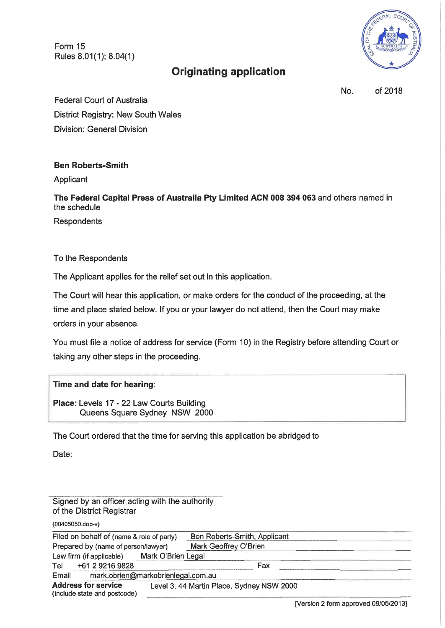Form 15 Rules 8.01(1); 8.04(1)



# **Originating application**

No. of 2018

**Federal Court of Australia District Registry: New South Wales Division: General Division** 

## **Ben Roberts-Smith**

Applicant

The Federal Capital Press of Australia Pty Limited ACN 008 394 063 and others named in the schedule

Respondents

To the Respondents

The Applicant applies for the relief set out in this application.

The Court will hear this application, or make orders for the conduct of the proceeding, at the time and place stated below. If you or your lawyer do not attend, then the Court may make orders in your absence.

You must file a notice of address for service (Form 10) in the Registry before attending Court or taking any other steps in the proceeding.

## Time and date for hearing:

Place: Levels 17 - 22 Law Courts Building Queens Square Sydney NSW 2000

The Court ordered that the time for serving this application be abridged to

Date:

Signed by an officer acting with the authority of the District Registrar {00405050.doc-v} Ben Roberts-Smith, Applicant Filed on behalf of (name & role of party) Mark Geoffrey O'Brien Prepared by (name of person/lawyer) Law firm (if applicable) Mark O'Brien Legal Tel +61 2 9216 9828 Fax mark.obrien@markobrienlegal.com.au Email **Address for service** Level 3, 44 Martin Place, Sydney NSW 2000 (include state and postcode)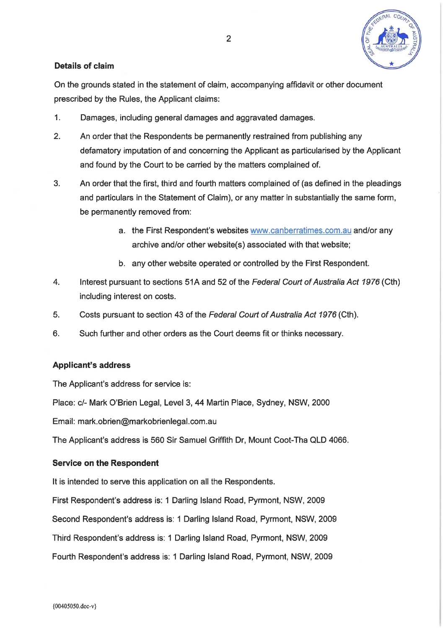

## **Details of claim**

On the grounds stated in the statement of claim, accompanying affidavit or other document prescribed by the Rules, the Applicant claims:

- $1<sub>1</sub>$ Damages, including general damages and aggravated damages.
- $2<sub>1</sub>$ An order that the Respondents be permanently restrained from publishing any defamatory imputation of and concerning the Applicant as particularised by the Applicant and found by the Court to be carried by the matters complained of.
- $3<sub>1</sub>$ An order that the first, third and fourth matters complained of (as defined in the pleadings and particulars in the Statement of Claim), or any matter in substantially the same form, be permanently removed from:
	- a. the First Respondent's websites www.canberratimes.com.au and/or any archive and/or other website(s) associated with that website;
	- b. any other website operated or controlled by the First Respondent.
- $\overline{4}$ . Interest pursuant to sections 51A and 52 of the Federal Court of Australia Act 1976 (Cth) including interest on costs.
- 5. Costs pursuant to section 43 of the Federal Court of Australia Act 1976 (Cth).
- 6. Such further and other orders as the Court deems fit or thinks necessary.

### **Applicant's address**

The Applicant's address for service is:

Place: c/- Mark O'Brien Legal, Level 3, 44 Martin Place, Sydney, NSW, 2000

Email: mark.obrien@markobrienlegal.com.au

The Applicant's address is 560 Sir Samuel Griffith Dr, Mount Coot-Tha QLD 4066.

### **Service on the Respondent**

It is intended to serve this application on all the Respondents.

First Respondent's address is: 1 Darling Island Road, Pyrmont, NSW, 2009

Second Respondent's address is: 1 Darling Island Road, Pyrmont, NSW, 2009

Third Respondent's address is: 1 Darling Island Road, Pyrmont, NSW, 2009

Fourth Respondent's address is: 1 Darling Island Road, Pyrmont, NSW, 2009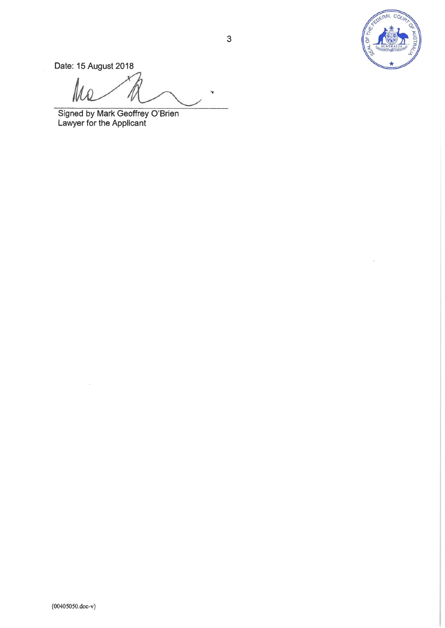

Date: 15 August 2018

N

Signed by Mark Geoffrey O'Brien<br>Lawyer for the Applicant